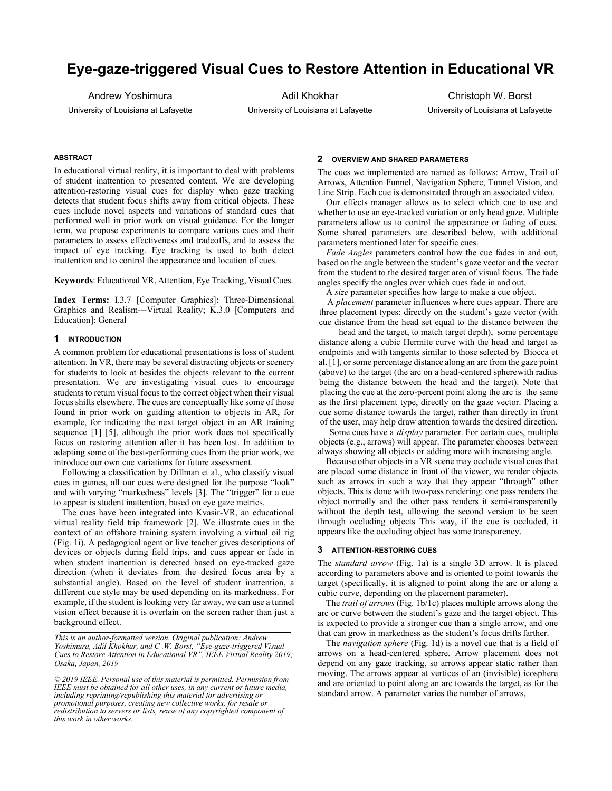# **Eye-gaze-triggered Visual Cues to Restore Attention in Educational VR**

Andrew Yoshimura

University of Louisiana at Lafayette

Adil Khokhar

University of Louisiana at Lafayette

Christoph W. Borst

University of Louisiana at Lafayette

## **ABSTRACT**

In educational virtual reality, it is important to deal with problems of student inattention to presented content. We are developing attention-restoring visual cues for display when gaze tracking detects that student focus shifts away from critical objects. These cues include novel aspects and variations of standard cues that performed well in prior work on visual guidance. For the longer term, we propose experiments to compare various cues and their parameters to assess effectiveness and tradeoffs, and to assess the impact of eye tracking. Eye tracking is used to both detect inattention and to control the appearance and location of cues.

**Keywords**: Educational VR, Attention, Eye Tracking, Visual Cues.

**Index Terms:** I.3.7 [Computer Graphics]: Three-Dimensional Graphics and Realism---Virtual Reality; K.3.0 [Computers and Education]: General

### **1 INTRODUCTION**

A common problem for educational presentations is loss of student attention. In VR, there may be several distracting objects or scenery for students to look at besides the objects relevant to the current presentation. We are investigating visual cues to encourage students to return visual focus to the correct object when their visual focus shifts elsewhere. The cues are conceptually like some of those found in prior work on guiding attention to objects in AR, for example, for indicating the next target object in an AR training sequence [1] [5], although the prior work does not specifically focus on restoring attention after it has been lost. In addition to adapting some of the best-performing cues from the prior work, we introduce our own cue variations for future assessment.

Following a classification by Dillman et al., who classify visual cues in games, all our cues were designed for the purpose "look" and with varying "markedness" levels [3]. The "trigger" for a cue to appear is student inattention, based on eye gaze metrics.

The cues have been integrated into Kvasir-VR, an educational virtual reality field trip framework [2]. We illustrate cues in the context of an offshore training system involving a virtual oil rig (Fig. 1i). A pedagogical agent or live teacher gives descriptions of devices or objects during field trips, and cues appear or fade in when student inattention is detected based on eye-tracked gaze direction (when it deviates from the desired focus area by a substantial angle). Based on the level of student inattention, a different cue style may be used depending on its markedness. For example, if the student is looking very far away, we can use a tunnel vision effect because it is overlain on the screen rather than just a background effect.

#### **2 OVERVIEW AND SHARED PARAMETERS**

The cues we implemented are named as follows: Arrow, Trail of Arrows, Attention Funnel, Navigation Sphere, Tunnel Vision, and Line Strip. Each cue is demonstrated through an associated video.

Our effects manager allows us to select which cue to use and whether to use an eye-tracked variation or only head gaze. Multiple parameters allow us to control the appearance or fading of cues. Some shared parameters are described below, with additional parameters mentioned later for specific cues.

*Fade Angles* parameters control how the cue fades in and out, based on the angle between the student's gaze vector and the vector from the student to the desired target area of visual focus. The fade angles specify the angles over which cues fade in and out.

A *size* parameter specifies how large to make a cue object.

A *placement* parameter influences where cues appear. There are three placement types: directly on the student's gaze vector (with cue distance from the head set equal to the distance between the

head and the target, to match target depth), some percentage distance along a cubic Hermite curve with the head and target as endpoints and with tangents similar to those selected by Biocca et al.  $\left[1\right]$ , or some percentage distance along an arc from the gaze point (above) to the target (the arc on a head-centered sphere with radius being the distance between the head and the target). Note that placing the cue at the zero-percent point along the arc is the same as the first placement type, directly on the gaze vector. Placing a cue some distance towards the target, rather than directly in front of the user, may help draw attention towards the desired direction.

Some cues have a *display* parameter. For certain cues, multiple objects (e.g., arrows) will appear. The parameter chooses between always showing all objects or adding more with increasing angle.

Because other objects in a VR scene may occlude visual cues that are placed some distance in front of the viewer, we render objects such as arrows in such a way that they appear "through" other objects. This is done with two-pass rendering: one pass renders the object normally and the other pass renders it semi-transparently without the depth test, allowing the second version to be seen through occluding objects This way, if the cue is occluded, it appears like the occluding object has some transparency.

#### **3 ATTENTION-RESTORING CUES**

The *standard arrow* (Fig. 1a) is a single 3D arrow. It is placed according to parameters above and is oriented to point towards the target (specifically, it is aligned to point along the arc or along a cubic curve, depending on the placement parameter).

The *trail of arrows* (Fig. 1b/1c) places multiple arrows along the arc or curve between the student's gaze and the target object. This is expected to provide a stronger cue than a single arrow, and one that can grow in markedness as the student's focus drifts farther.

The *navigation sphere* (Fig. 1d) is a novel cue that is a field of arrows on a head-centered sphere. Arrow placement does not depend on any gaze tracking, so arrows appear static rather than moving. The arrows appear at vertices of an (invisible) icosphere and are oriented to point along an arc towards the target, as for the standard arrow. A parameter varies the number of arrows,

*This is an author-formatted version. Original publication: Andrew Yoshimura, Adil Khokhar, and C .W. Borst, "Eye-gaze-triggered Visual Cues to Restore Attention in Educational VR", IEEE Virtual Reality 2019; Osaka, Japan, 2019* 

*<sup>© 2019</sup> IEEE. Personal use of this material is permitted. Permission from IEEE must be obtained for all other uses, in any current or future media, including reprinting/republishing this material for advertising or promotional purposes, creating new collective works, for resale or redistribution to servers or lists, reuse of any copyrighted component of this work in other works.*